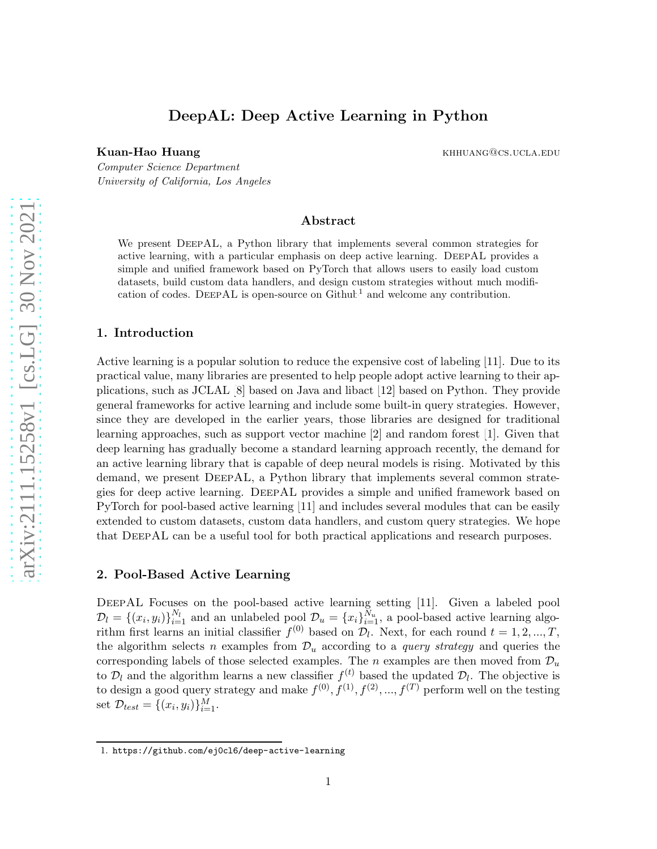# DeepAL: Deep Active Learning in Python

Kuan-Hao Huang khhuang khhuang khhuang khhuang khhuang khhuang khhuang khhuang khhuang khhuang khhuang khhuang khhuang khhuang khhuang khhuang khhuang khhuang khhuang khhuang khhuang khhuang khhuang khhuang khhuang khhuang

*Computer Science Department University of California, Los Angeles*

#### Abstract

We present DEEPAL, a Python library that implements several common strategies for active learning, with a particular emphasis on deep active learning. DeepAL provides a simple and unified framework based on PyTorch that allows users to easily load custom datasets, build custom data handlers, and design custom strategies without much modification of codes. DEEPAL is open-source on  $Github<sup>1</sup>$  $Github<sup>1</sup>$  $Github<sup>1</sup>$  and welcome any contribution.

#### 1. Introduction

Active learning is a popular solution to reduce the expensive cost of labeling [\[11\]](#page-3-0). Due to its practical value, many libraries are presented to help people adopt active learning to their applications, such as JCLAL [\[8\]](#page-3-1) based on Java and libact [\[12\]](#page-3-2) based on Python. They provide general frameworks for active learning and include some built-in query strategies. However, since they are developed in the earlier years, those libraries are designed for traditional learning approaches, such as support vector machine [\[2](#page-3-3)] and random forest [\[1](#page-3-4)]. Given that deep learning has gradually become a standard learning approach recently, the demand for an active learning library that is capable of deep neural models is rising. Motivated by this demand, we present DeepAL, a Python library that implements several common strategies for deep active learning. DeepAL provides a simple and unified framework based on PyTorch for pool-based active learning [\[11](#page-3-0)] and includes several modules that can be easily extended to custom datasets, custom data handlers, and custom query strategies. We hope that DeepAL can be a useful tool for both practical applications and research purposes.

#### 2. Pool-Based Active Learning

DeepAL Focuses on the pool-based active learning setting [\[11](#page-3-0)]. Given a labeled pool  $\mathcal{D}_l = \{(x_i, y_i)\}_{i=1}^{N_l}$  and an unlabeled pool  $\mathcal{D}_u = \{x_i\}_{i=1}^{N_u}$ , a pool-based active learning algorithm first learns an initial classifier  $f^{(0)}$  based on  $\mathcal{D}_l$ . Next, for each round  $t = 1, 2, ..., T$ , the algorithm selects n examples from  $\mathcal{D}_u$  according to a *query strategy* and queries the corresponding labels of those selected examples. The n examples are then moved from  $\mathcal{D}_u$ to  $\mathcal{D}_l$  and the algorithm learns a new classifier  $f^{(t)}$  based the updated  $\mathcal{D}_l$ . The objective is to design a good query strategy and make  $f^{(0)}, f^{(1)}, f^{(2)}, ..., f^{(T)}$  perform well on the testing set  $\mathcal{D}_{test} = \{(x_i, y_i)\}_{i=1}^M$ .

<span id="page-0-0"></span><sup>1.</sup> <https://github.com/ej0cl6/deep-active-learning>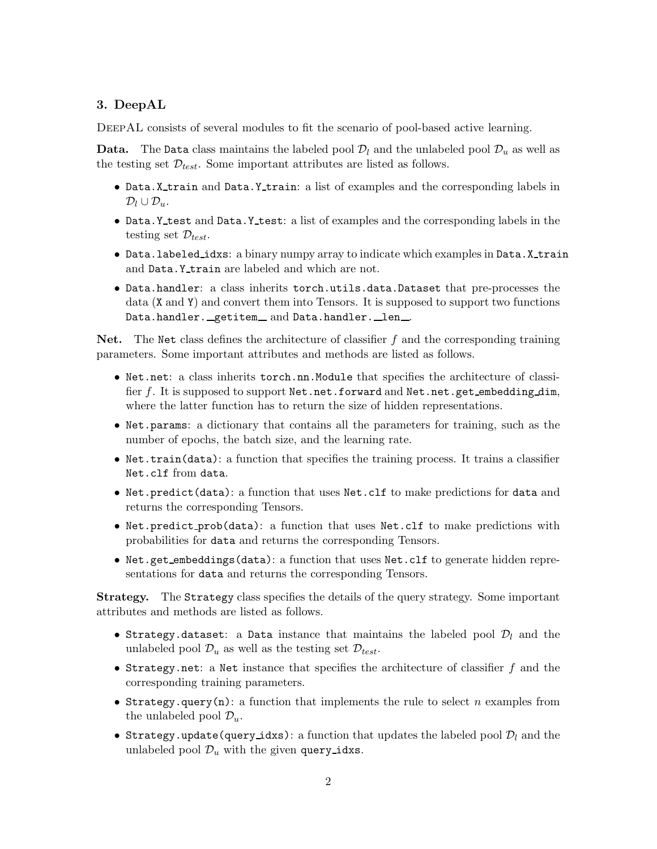## 3. DeepAL

DEEPAL consists of several modules to fit the scenario of pool-based active learning.

**Data.** The Data class maintains the labeled pool  $\mathcal{D}_l$  and the unlabeled pool  $\mathcal{D}_u$  as well as the testing set  $\mathcal{D}_{test}$ . Some important attributes are listed as follows.

- Data.X train and Data.Y train: a list of examples and the corresponding labels in  $\mathcal{D}_l \cup \mathcal{D}_u$ .
- Data.Y\_test and Data.Y\_test: a list of examples and the corresponding labels in the testing set  $\mathcal{D}_{test}$ .
- Data.labeled idxs: a binary numpy array to indicate which examples in Data.X train and Data.Y\_train are labeled and which are not.
- Data.handler: a class inherits torch.utils.data.Dataset that pre-processes the data (X and Y) and convert them into Tensors. It is supposed to support two functions Data.handler.\_getitem\_and Data.handler.\_len\_.

**Net.** The Net class defines the architecture of classifier  $f$  and the corresponding training parameters. Some important attributes and methods are listed as follows.

- Net.net: a class inherits torch.nn.Module that specifies the architecture of classifier f. It is supposed to support Net.net.forward and Net.net.get\_embedding\_dim, where the latter function has to return the size of hidden representations.
- Net.params: a dictionary that contains all the parameters for training, such as the number of epochs, the batch size, and the learning rate.
- Net.train(data): a function that specifies the training process. It trains a classifier Net.clf from data.
- Net.predict(data): a function that uses Net.clf to make predictions for data and returns the corresponding Tensors.
- Net.predict\_prob(data): a function that uses Net.clf to make predictions with probabilities for data and returns the corresponding Tensors.
- Net.get embeddings(data): a function that uses Net.clf to generate hidden representations for data and returns the corresponding Tensors.

Strategy. The Strategy class specifies the details of the query strategy. Some important attributes and methods are listed as follows.

- Strategy.dataset: a Data instance that maintains the labeled pool  $\mathcal{D}_l$  and the unlabeled pool  $\mathcal{D}_u$  as well as the testing set  $\mathcal{D}_{test}$ .
- $\bullet$  Strategy.net: a Net instance that specifies the architecture of classifier  $f$  and the corresponding training parameters.
- Strategy.query(n): a function that implements the rule to select  $n$  examples from the unlabeled pool  $\mathcal{D}_u$ .
- Strategy.update(query\_idxs): a function that updates the labeled pool  $\mathcal{D}_l$  and the unlabeled pool  $\mathcal{D}_u$  with the given query idxs.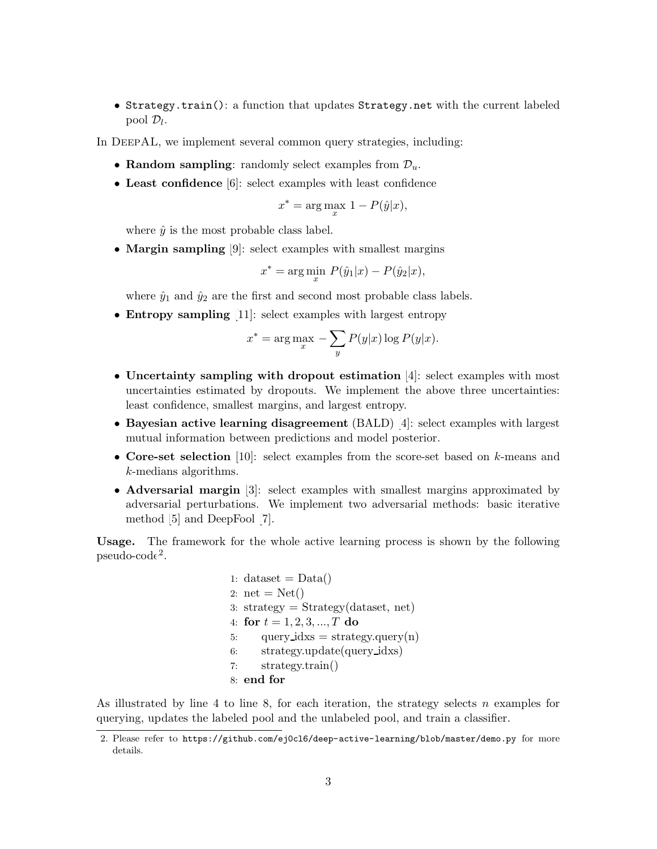• Strategy.train(): a function that updates Strategy.net with the current labeled pool  $\mathcal{D}_l$ .

In DEEPAL, we implement several common query strategies, including:

- Random sampling: randomly select examples from  $\mathcal{D}_u$ .
- Least confidence [\[6](#page-3-5)]: select examples with least confidence

$$
x^* = \arg\max_x 1 - P(\hat{y}|x),
$$

where  $\hat{y}$  is the most probable class label.

• Margin sampling [\[9](#page-3-6)]: select examples with smallest margins

$$
x^* = \arg\min_x P(\hat{y}_1|x) - P(\hat{y}_2|x),
$$

where  $\hat{y}_1$  and  $\hat{y}_2$  are the first and second most probable class labels.

• Entropy sampling [\[11\]](#page-3-0): select examples with largest entropy

$$
x^* = \arg\max_x -\sum_y P(y|x) \log P(y|x).
$$

- Uncertainty sampling with dropout estimation [\[4](#page-3-7)]: select examples with most uncertainties estimated by dropouts. We implement the above three uncertainties: least confidence, smallest margins, and largest entropy.
- Bayesian active learning disagreement (BALD) [\[4](#page-3-7)]: select examples with largest mutual information between predictions and model posterior.
- Core-set selection [\[10](#page-3-8)]: select examples from the score-set based on k-means and k-medians algorithms.
- Adversarial margin [\[3](#page-3-9)]: select examples with smallest margins approximated by adversarial perturbations. We implement two adversarial methods: basic iterative method [\[5](#page-3-10)] and DeepFool [\[7\]](#page-3-11).

Usage. The framework for the whole active learning process is shown by the following  $pseudo-code<sup>2</sup>$  $pseudo-code<sup>2</sup>$  $pseudo-code<sup>2</sup>$ .

> 1: dataset  $= Data()$ 2:  $net = Net()$ 3: strategy =  $Strategy$  (dataset, net) 4: for  $t = 1, 2, 3, ..., T$  do 5: query  $idxs = strategy.query(n)$ 6: strategy.update(query idxs) 7: strategy.train() 8: end for

As illustrated by line 4 to line 8, for each iteration, the strategy selects n examples for querying, updates the labeled pool and the unlabeled pool, and train a classifier.

<span id="page-2-0"></span><sup>2.</sup> Please refer to <https://github.com/ej0cl6/deep-active-learning/blob/master/demo.py> for more details.